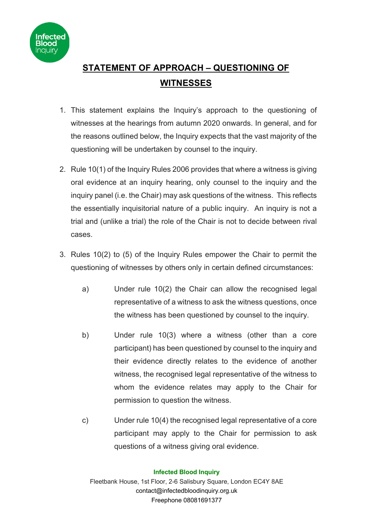

## **STATEMENT OF APPROACH – QUESTIONING OF WITNESSES**

- 1. This statement explains the Inquiry's approach to the questioning of witnesses at the hearings from autumn 2020 onwards. In general, and for the reasons outlined below, the Inquiry expects that the vast majority of the questioning will be undertaken by counsel to the inquiry.
- 2. Rule 10(1) of the Inquiry Rules 2006 provides that where a witness is giving oral evidence at an inquiry hearing, only counsel to the inquiry and the inquiry panel (i.e. the Chair) may ask questions of the witness. This reflects the essentially inquisitorial nature of a public inquiry. An inquiry is not a trial and (unlike a trial) the role of the Chair is not to decide between rival cases.
- 3. Rules 10(2) to (5) of the Inquiry Rules empower the Chair to permit the questioning of witnesses by others only in certain defined circumstances:
	- a) Under rule 10(2) the Chair can allow the recognised legal representative of a witness to ask the witness questions, once the witness has been questioned by counsel to the inquiry.
	- b) Under rule 10(3) where a witness (other than a core participant) has been questioned by counsel to the inquiry and their evidence directly relates to the evidence of another witness, the recognised legal representative of the witness to whom the evidence relates may apply to the Chair for permission to question the witness.
	- c) Under rule 10(4) the recognised legal representative of a core participant may apply to the Chair for permission to ask questions of a witness giving oral evidence.

## **Infected Blood Inquiry**

Fleetbank House, 1st Floor, 2-6 Salisbury Square, London EC4Y 8AE contact@infectedbloodinquiry.org.uk Freephone 08081691377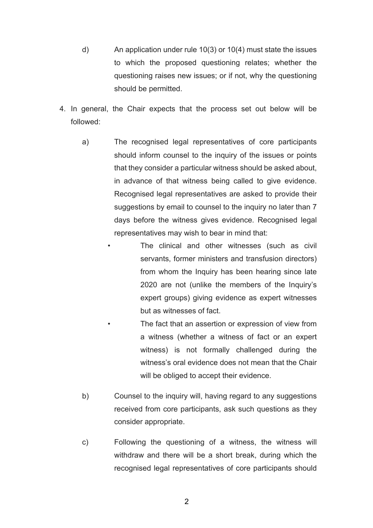- d) An application under rule 10(3) or 10(4) must state the issues to which the proposed questioning relates; whether the questioning raises new issues; or if not, why the questioning should be permitted.
- 4. In general, the Chair expects that the process set out below will be followed:
	- a) The recognised legal representatives of core participants should inform counsel to the inquiry of the issues or points that they consider a particular witness should be asked about, in advance of that witness being called to give evidence. Recognised legal representatives are asked to provide their suggestions by email to counsel to the inquiry no later than 7 days before the witness gives evidence. Recognised legal representatives may wish to bear in mind that:
		- The clinical and other witnesses (such as civil servants, former ministers and transfusion directors) from whom the Inquiry has been hearing since late 2020 are not (unlike the members of the Inquiry's expert groups) giving evidence as expert witnesses but as witnesses of fact.

The fact that an assertion or expression of view from a witness (whether a witness of fact or an expert witness) is not formally challenged during the witness's oral evidence does not mean that the Chair will be obliged to accept their evidence.

- b) Counsel to the inquiry will, having regard to any suggestions received from core participants, ask such questions as they consider appropriate.
- c) Following the questioning of a witness, the witness will withdraw and there will be a short break, during which the recognised legal representatives of core participants should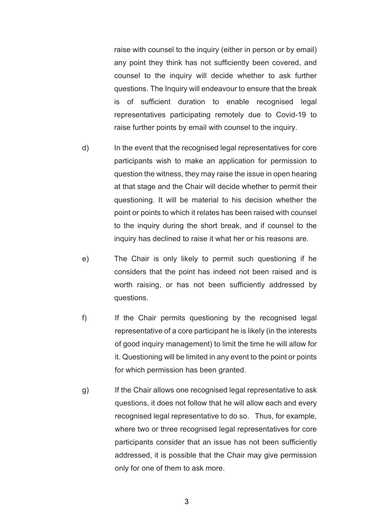raise with counsel to the inquiry (either in person or by email) any point they think has not sufficiently been covered, and counsel to the inquiry will decide whether to ask further questions. The Inquiry will endeavour to ensure that the break is of sufficient duration to enable recognised legal representatives participating remotely due to Covid-19 to raise further points by email with counsel to the inquiry.

- d) In the event that the recognised legal representatives for core participants wish to make an application for permission to question the witness, they may raise the issue in open hearing at that stage and the Chair will decide whether to permit their questioning. It will be material to his decision whether the point or points to which it relates has been raised with counsel to the inquiry during the short break, and if counsel to the inquiry has declined to raise it what her or his reasons are.
- e) The Chair is only likely to permit such questioning if he considers that the point has indeed not been raised and is worth raising, or has not been sufficiently addressed by questions.
- f) If the Chair permits questioning by the recognised legal representative of a core participant he is likely (in the interests of good inquiry management) to limit the time he will allow for it. Questioning will be limited in any event to the point or points for which permission has been granted.
- g) If the Chair allows one recognised legal representative to ask questions, it does not follow that he will allow each and every recognised legal representative to do so. Thus, for example, where two or three recognised legal representatives for core participants consider that an issue has not been sufficiently addressed, it is possible that the Chair may give permission only for one of them to ask more.